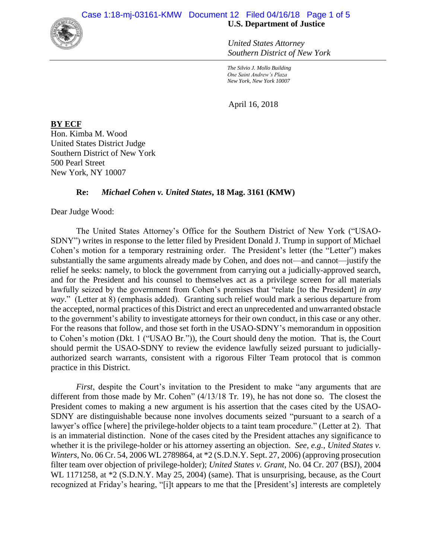

*United States Attorney Southern District of New York*

*The Silvio J. Mollo Building One Saint Andrew's Plaza New York, New York 10007*

April 16, 2018

**BY ECF** Hon. Kimba M. Wood United States District Judge Southern District of New York 500 Pearl Street New York, NY 10007

## **Re:** *Michael Cohen v. United States***, 18 Mag. 3161 (KMW)**

Dear Judge Wood:

The United States Attorney's Office for the Southern District of New York ("USAO-SDNY") writes in response to the letter filed by President Donald J. Trump in support of Michael Cohen's motion for a temporary restraining order. The President's letter (the "Letter") makes substantially the same arguments already made by Cohen, and does not—and cannot—justify the relief he seeks: namely, to block the government from carrying out a judicially-approved search, and for the President and his counsel to themselves act as a privilege screen for all materials lawfully seized by the government from Cohen's premises that "relate [to the President] *in any way*." (Letter at 8) (emphasis added). Granting such relief would mark a serious departure from the accepted, normal practices of this District and erect an unprecedented and unwarranted obstacle to the government's ability to investigate attorneys for their own conduct, in this case or any other. For the reasons that follow, and those set forth in the USAO-SDNY's memorandum in opposition to Cohen's motion (Dkt. 1 ("USAO Br.")), the Court should deny the motion. That is, the Court should permit the USAO-SDNY to review the evidence lawfully seized pursuant to judiciallyauthorized search warrants, consistent with a rigorous Filter Team protocol that is common practice in this District.

*First*, despite the Court's invitation to the President to make "any arguments that are different from those made by Mr. Cohen"  $(4/13/18$  Tr. 19), he has not done so. The closest the President comes to making a new argument is his assertion that the cases cited by the USAO-SDNY are distinguishable because none involves documents seized "pursuant to a search of a lawyer's office [where] the privilege-holder objects to a taint team procedure." (Letter at 2). That is an immaterial distinction. None of the cases cited by the President attaches any significance to whether it is the privilege-holder or his attorney asserting an objection. *See, e.g.*, *United States v. Winters*, No. 06 Cr. 54, 2006 WL 2789864, at \*2 (S.D.N.Y. Sept. 27, 2006) (approving prosecution filter team over objection of privilege-holder); *United States v. Grant*, No. 04 Cr. 207 (BSJ), 2004 WL 1171258, at  $*2$  (S.D.N.Y. May 25, 2004) (same). That is unsurprising, because, as the Court recognized at Friday's hearing, "[i]t appears to me that the [President's] interests are completely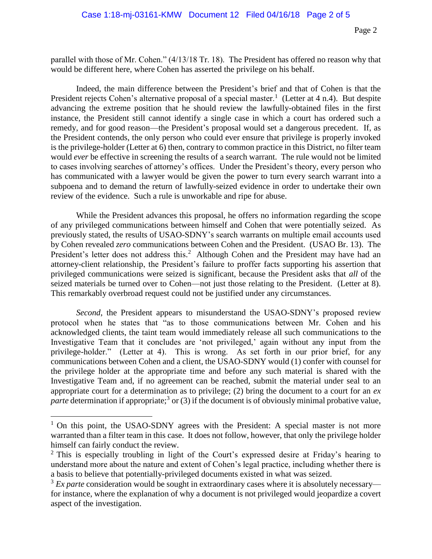parallel with those of Mr. Cohen." (4/13/18 Tr. 18). The President has offered no reason why that would be different here, where Cohen has asserted the privilege on his behalf.

Indeed, the main difference between the President's brief and that of Cohen is that the President rejects Cohen's alternative proposal of a special master.<sup>1</sup> (Letter at 4 n.4). But despite advancing the extreme position that he should review the lawfully-obtained files in the first instance, the President still cannot identify a single case in which a court has ordered such a remedy, and for good reason—the President's proposal would set a dangerous precedent. If, as the President contends, the only person who could ever ensure that privilege is properly invoked is the privilege-holder (Letter at 6) then, contrary to common practice in this District, no filter team would *ever* be effective in screening the results of a search warrant. The rule would not be limited to cases involving searches of attorney's offices. Under the President's theory, every person who has communicated with a lawyer would be given the power to turn every search warrant into a subpoena and to demand the return of lawfully-seized evidence in order to undertake their own review of the evidence. Such a rule is unworkable and ripe for abuse.

While the President advances this proposal, he offers no information regarding the scope of any privileged communications between himself and Cohen that were potentially seized. As previously stated, the results of USAO-SDNY's search warrants on multiple email accounts used by Cohen revealed *zero* communications between Cohen and the President. (USAO Br. 13). The President's letter does not address this.<sup>2</sup> Although Cohen and the President may have had an attorney-client relationship, the President's failure to proffer facts supporting his assertion that privileged communications were seized is significant, because the President asks that *all* of the seized materials be turned over to Cohen—not just those relating to the President. (Letter at 8). This remarkably overbroad request could not be justified under any circumstances.

*Second*, the President appears to misunderstand the USAO-SDNY's proposed review protocol when he states that "as to those communications between Mr. Cohen and his acknowledged clients, the taint team would immediately release all such communications to the Investigative Team that it concludes are 'not privileged,' again without any input from the privilege-holder." (Letter at 4). This is wrong. As set forth in our prior brief, for any communications between Cohen and a client, the USAO-SDNY would (1) confer with counsel for the privilege holder at the appropriate time and before any such material is shared with the Investigative Team and, if no agreement can be reached, submit the material under seal to an appropriate court for a determination as to privilege; (2) bring the document to a court for an *ex*  parte determination if appropriate;<sup>3</sup> or (3) if the document is of obviously minimal probative value,

 $\overline{a}$ 

<sup>&</sup>lt;sup>1</sup> On this point, the USAO-SDNY agrees with the President: A special master is not more warranted than a filter team in this case. It does not follow, however, that only the privilege holder himself can fairly conduct the review.

 $2$  This is especially troubling in light of the Court's expressed desire at Friday's hearing to understand more about the nature and extent of Cohen's legal practice, including whether there is a basis to believe that potentially-privileged documents existed in what was seized.

<sup>&</sup>lt;sup>3</sup> *Ex parte* consideration would be sought in extraordinary cases where it is absolutely necessary for instance, where the explanation of why a document is not privileged would jeopardize a covert aspect of the investigation.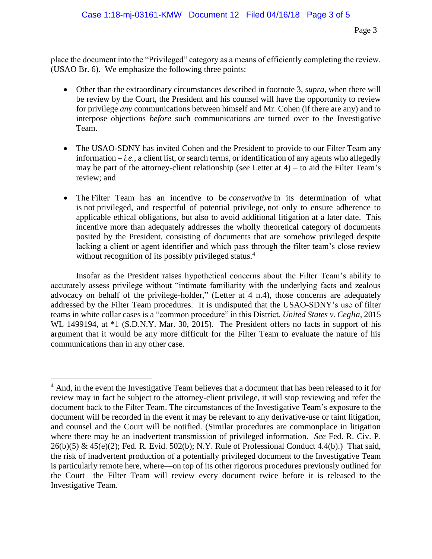place the document into the "Privileged" category as a means of efficiently completing the review. (USAO Br. 6). We emphasize the following three points:

- Other than the extraordinary circumstances described in footnote 3, *supra*, when there will be review by the Court, the President and his counsel will have the opportunity to review for privilege *any* communications between himself and Mr. Cohen (if there are any) and to interpose objections *before* such communications are turned over to the Investigative Team.
- The USAO-SDNY has invited Cohen and the President to provide to our Filter Team any information  $-i.e.,$  a client list, or search terms, or identification of any agents who allegedly may be part of the attorney-client relationship (*see* Letter at 4) – to aid the Filter Team's review; and
- The Filter Team has an incentive to be *conservative* in its determination of what is not privileged, and respectful of potential privilege, not only to ensure adherence to applicable ethical obligations, but also to avoid additional litigation at a later date. This incentive more than adequately addresses the wholly theoretical category of documents posited by the President, consisting of documents that are somehow privileged despite lacking a client or agent identifier and which pass through the filter team's close review without recognition of its possibly privileged status.<sup>4</sup>

Insofar as the President raises hypothetical concerns about the Filter Team's ability to accurately assess privilege without "intimate familiarity with the underlying facts and zealous advocacy on behalf of the privilege-holder," (Letter at 4 n.4), those concerns are adequately addressed by the Filter Team procedures. It is undisputed that the USAO-SDNY's use of filter teams in white collar cases is a "common procedure" in this District. *United States v. Ceglia*, 2015 WL 1499194, at  $*1$  (S.D.N.Y. Mar. 30, 2015). The President offers no facts in support of his argument that it would be any more difficult for the Filter Team to evaluate the nature of his communications than in any other case.

 $\overline{a}$ 

<sup>&</sup>lt;sup>4</sup> And, in the event the Investigative Team believes that a document that has been released to it for review may in fact be subject to the attorney-client privilege, it will stop reviewing and refer the document back to the Filter Team. The circumstances of the Investigative Team's exposure to the document will be recorded in the event it may be relevant to any derivative-use or taint litigation, and counsel and the Court will be notified. (Similar procedures are commonplace in litigation where there may be an inadvertent transmission of privileged information. *See* Fed. R. Civ. P. 26(b)(5) & 45(e)(2); Fed. R. Evid. 502(b); N.Y. Rule of Professional Conduct 4.4(b).) That said, the risk of inadvertent production of a potentially privileged document to the Investigative Team is particularly remote here, where—on top of its other rigorous procedures previously outlined for the Court—the Filter Team will review every document twice before it is released to the Investigative Team.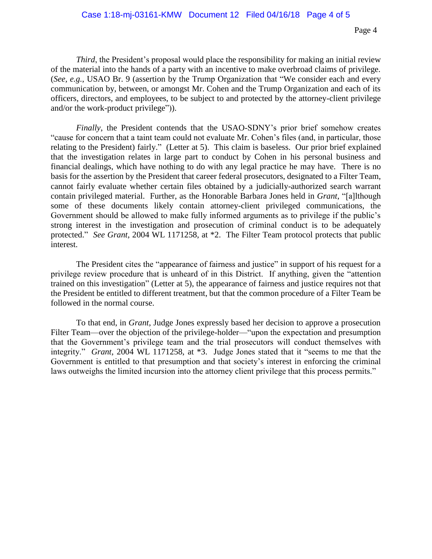*Third*, the President's proposal would place the responsibility for making an initial review of the material into the hands of a party with an incentive to make overbroad claims of privilege. (*See, e.g.*, USAO Br. 9 (assertion by the Trump Organization that "We consider each and every communication by, between, or amongst Mr. Cohen and the Trump Organization and each of its officers, directors, and employees, to be subject to and protected by the attorney-client privilege and/or the work-product privilege")).

*Finally*, the President contends that the USAO-SDNY's prior brief somehow creates "cause for concern that a taint team could not evaluate Mr. Cohen's files (and, in particular, those relating to the President) fairly." (Letter at 5). This claim is baseless. Our prior brief explained that the investigation relates in large part to conduct by Cohen in his personal business and financial dealings, which have nothing to do with any legal practice he may have. There is no basis for the assertion by the President that career federal prosecutors, designated to a Filter Team, cannot fairly evaluate whether certain files obtained by a judicially-authorized search warrant contain privileged material. Further, as the Honorable Barbara Jones held in *Grant*, "[a]lthough some of these documents likely contain attorney-client privileged communications, the Government should be allowed to make fully informed arguments as to privilege if the public's strong interest in the investigation and prosecution of criminal conduct is to be adequately protected." *See Grant*, 2004 WL 1171258, at \*2. The Filter Team protocol protects that public interest.

The President cites the "appearance of fairness and justice" in support of his request for a privilege review procedure that is unheard of in this District. If anything, given the "attention trained on this investigation" (Letter at 5), the appearance of fairness and justice requires not that the President be entitled to different treatment, but that the common procedure of a Filter Team be followed in the normal course.

To that end, in *Grant*, Judge Jones expressly based her decision to approve a prosecution Filter Team—over the objection of the privilege-holder—"upon the expectation and presumption that the Government's privilege team and the trial prosecutors will conduct themselves with integrity." *Grant*, 2004 WL 1171258, at \*3. Judge Jones stated that it "seems to me that the Government is entitled to that presumption and that society's interest in enforcing the criminal laws outweighs the limited incursion into the attorney client privilege that this process permits."